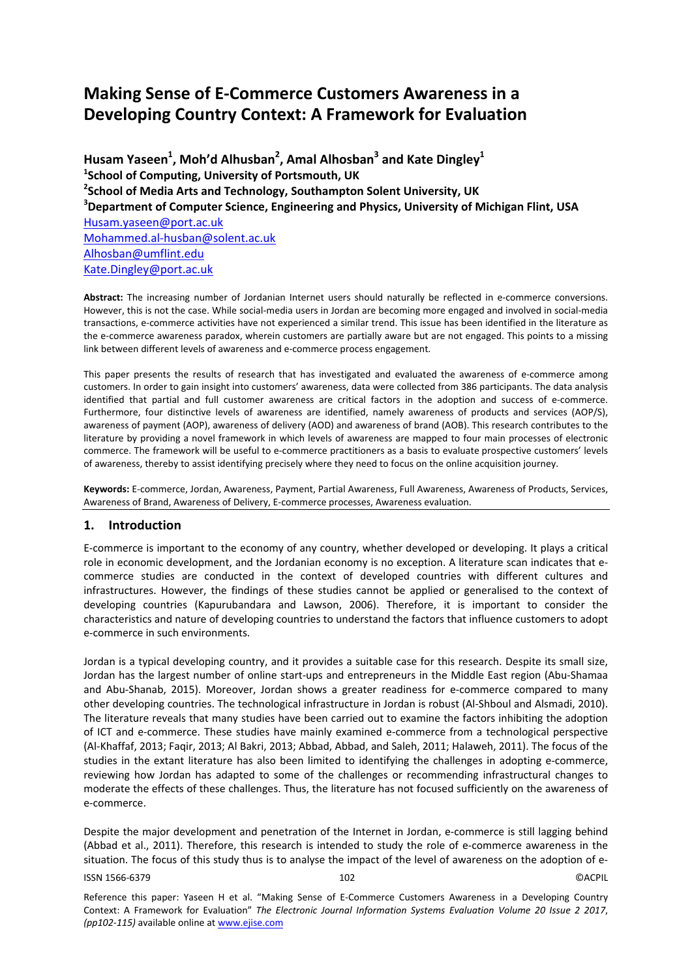# **Making Sense of E-Commerce Customers Awareness in a Developing Country Context: A Framework for Evaluation**

Husam Yaseen<sup>1</sup>, Moh'd Alhusban<sup>2</sup>, Amal Alhosban<sup>3</sup> and Kate Dingley<sup>1</sup> **1 School of Computing, University of Portsmouth, UK 2 School of Media Arts and Technology, Southampton Solent University, UK 3 Department of Computer Science, Engineering and Physics, University of Michigan Flint, USA**  Husam.yaseen@port.ac.uk Mohammed.al-husban@solent.ac.uk Alhosban@umflint.edu Kate.Dingley@port.ac.uk

**Abstract:** The increasing number of Jordanian Internet users should naturally be reflected in e-commerce conversions. However, this is not the case. While social-media users in Jordan are becoming more engaged and involved in social-media transactions, e-commerce activities have not experienced a similar trend. This issue has been identified in the literature as the e-commerce awareness paradox, wherein customers are partially aware but are not engaged. This points to a missing link between different levels of awareness and e-commerce process engagement.

This paper presents the results of research that has investigated and evaluated the awareness of e-commerce among customers. In order to gain insight into customers' awareness, data were collected from 386 participants. The data analysis identified that partial and full customer awareness are critical factors in the adoption and success of e-commerce. Furthermore, four distinctive levels of awareness are identified, namely awareness of products and services (AOP/S), awareness of payment (AOP), awareness of delivery (AOD) and awareness of brand (AOB). This research contributes to the literature by providing a novel framework in which levels of awareness are mapped to four main processes of electronic commerce. The framework will be useful to e-commerce practitioners as a basis to evaluate prospective customers' levels of awareness, thereby to assist identifying precisely where they need to focus on the online acquisition journey.

**Keywords:** E-commerce, Jordan, Awareness, Payment, Partial Awareness, Full Awareness, Awareness of Products, Services, Awareness of Brand, Awareness of Delivery, E-commerce processes, Awareness evaluation.

# **1. Introduction**

E-commerce is important to the economy of any country, whether developed or developing. It plays a critical role in economic development, and the Jordanian economy is no exception. A literature scan indicates that ecommerce studies are conducted in the context of developed countries with different cultures and infrastructures. However, the findings of these studies cannot be applied or generalised to the context of developing countries (Kapurubandara and Lawson, 2006). Therefore, it is important to consider the characteristics and nature of developing countries to understand the factors that influence customers to adopt e-commerce in such environments.

Jordan is a typical developing country, and it provides a suitable case for this research. Despite its small size, Jordan has the largest number of online start-ups and entrepreneurs in the Middle East region (Abu-Shamaa and Abu-Shanab, 2015). Moreover, Jordan shows a greater readiness for e-commerce compared to many other developing countries. The technological infrastructure in Jordan is robust (Al-Shboul and Alsmadi, 2010). The literature reveals that many studies have been carried out to examine the factors inhibiting the adoption of ICT and e-commerce. These studies have mainly examined e-commerce from a technological perspective (Al-Khaffaf, 2013; Faqir, 2013; Al Bakri, 2013; Abbad, Abbad, and Saleh, 2011; Halaweh, 2011). The focus of the studies in the extant literature has also been limited to identifying the challenges in adopting e-commerce, reviewing how Jordan has adapted to some of the challenges or recommending infrastructural changes to moderate the effects of these challenges. Thus, the literature has not focused sufficiently on the awareness of e-commerce.

ISSN 1566-6379 102 ©ACPIL Despite the major development and penetration of the Internet in Jordan, e-commerce is still lagging behind (Abbad et al., 2011). Therefore, this research is intended to study the role of e-commerce awareness in the situation. The focus of this study thus is to analyse the impact of the level of awareness on the adoption of e-

Reference this paper: Yaseen H et al. "Making Sense of E-Commerce Customers Awareness in a Developing Country Context: A Framework for Evaluation" *The Electronic Journal Information Systems Evaluation Volume 20 Issue 2 2017*, *(pp102-115)* available online at www.ejise.com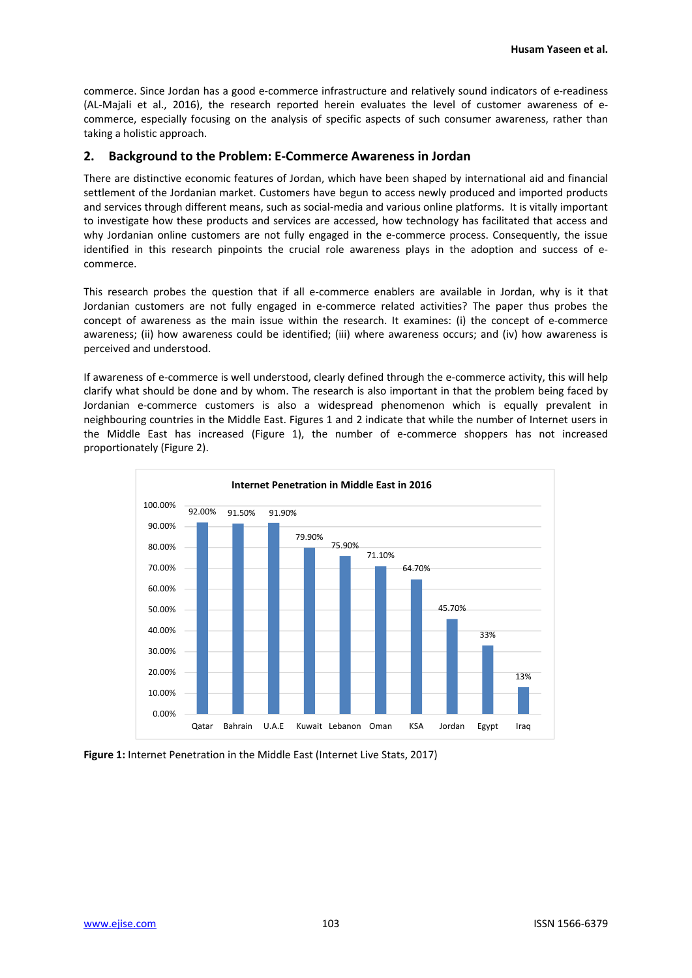commerce. Since Jordan has a good e-commerce infrastructure and relatively sound indicators of e-readiness (AL-Majali et al., 2016), the research reported herein evaluates the level of customer awareness of ecommerce, especially focusing on the analysis of specific aspects of such consumer awareness, rather than taking a holistic approach.

## **2. Background to the Problem: E-Commerce Awareness in Jordan**

There are distinctive economic features of Jordan, which have been shaped by international aid and financial settlement of the Jordanian market. Customers have begun to access newly produced and imported products and services through different means, such as social-media and various online platforms. It is vitally important to investigate how these products and services are accessed, how technology has facilitated that access and why Jordanian online customers are not fully engaged in the e-commerce process. Consequently, the issue identified in this research pinpoints the crucial role awareness plays in the adoption and success of ecommerce.

This research probes the question that if all e-commerce enablers are available in Jordan, why is it that Jordanian customers are not fully engaged in e-commerce related activities? The paper thus probes the concept of awareness as the main issue within the research. It examines: (i) the concept of e-commerce awareness; (ii) how awareness could be identified; (iii) where awareness occurs; and (iv) how awareness is perceived and understood.

If awareness of e-commerce is well understood, clearly defined through the e-commerce activity, this will help clarify what should be done and by whom. The research is also important in that the problem being faced by Jordanian e-commerce customers is also a widespread phenomenon which is equally prevalent in neighbouring countries in the Middle East. Figures 1 and 2 indicate that while the number of Internet users in the Middle East has increased (Figure 1), the number of e-commerce shoppers has not increased proportionately (Figure 2).



**Figure 1:** Internet Penetration in the Middle East (Internet Live Stats, 2017)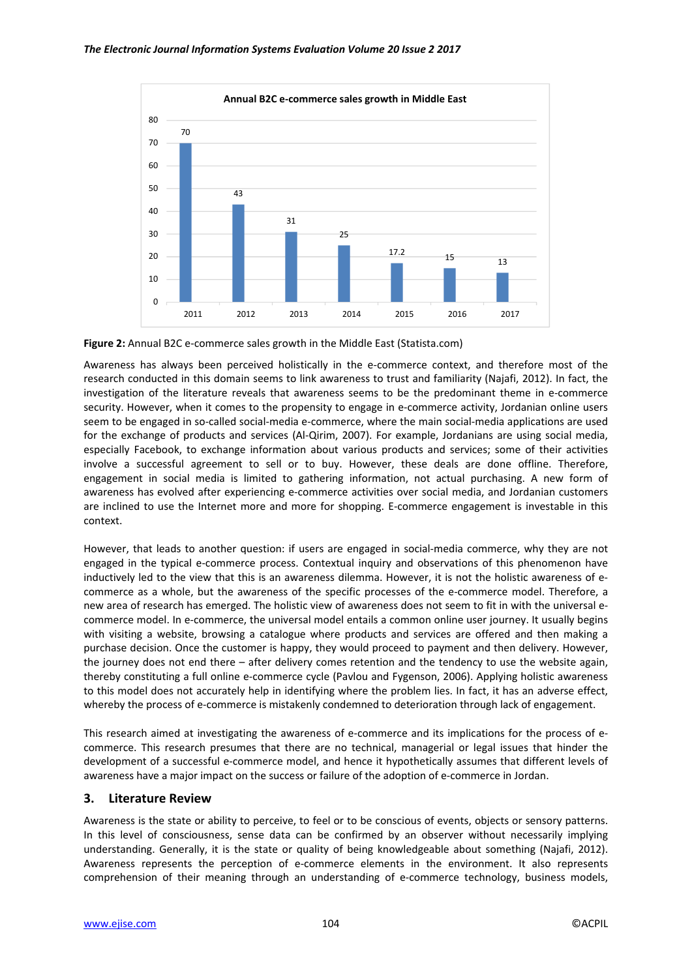



Awareness has always been perceived holistically in the e-commerce context, and therefore most of the research conducted in this domain seems to link awareness to trust and familiarity (Najafi, 2012). In fact, the investigation of the literature reveals that awareness seems to be the predominant theme in e-commerce security. However, when it comes to the propensity to engage in e-commerce activity, Jordanian online users seem to be engaged in so-called social-media e-commerce, where the main social-media applications are used for the exchange of products and services (Al-Qirim, 2007). For example, Jordanians are using social media, especially Facebook, to exchange information about various products and services; some of their activities involve a successful agreement to sell or to buy. However, these deals are done offline. Therefore, engagement in social media is limited to gathering information, not actual purchasing. A new form of awareness has evolved after experiencing e-commerce activities over social media, and Jordanian customers are inclined to use the Internet more and more for shopping. E-commerce engagement is investable in this context.

However, that leads to another question: if users are engaged in social-media commerce, why they are not engaged in the typical e-commerce process. Contextual inquiry and observations of this phenomenon have inductively led to the view that this is an awareness dilemma. However, it is not the holistic awareness of ecommerce as a whole, but the awareness of the specific processes of the e-commerce model. Therefore, a new area of research has emerged. The holistic view of awareness does not seem to fit in with the universal ecommerce model. In e-commerce, the universal model entails a common online user journey. It usually begins with visiting a website, browsing a catalogue where products and services are offered and then making a purchase decision. Once the customer is happy, they would proceed to payment and then delivery. However, the journey does not end there – after delivery comes retention and the tendency to use the website again, thereby constituting a full online e-commerce cycle (Pavlou and Fygenson, 2006). Applying holistic awareness to this model does not accurately help in identifying where the problem lies. In fact, it has an adverse effect, whereby the process of e-commerce is mistakenly condemned to deterioration through lack of engagement.

This research aimed at investigating the awareness of e-commerce and its implications for the process of ecommerce. This research presumes that there are no technical, managerial or legal issues that hinder the development of a successful e-commerce model, and hence it hypothetically assumes that different levels of awareness have a major impact on the success or failure of the adoption of e-commerce in Jordan.

# **3. Literature Review**

Awareness is the state or ability to perceive, to feel or to be conscious of events, objects or sensory patterns. In this level of consciousness, sense data can be confirmed by an observer without necessarily implying understanding. Generally, it is the state or quality of being knowledgeable about something (Najafi, 2012). Awareness represents the perception of e-commerce elements in the environment. It also represents comprehension of their meaning through an understanding of e-commerce technology, business models,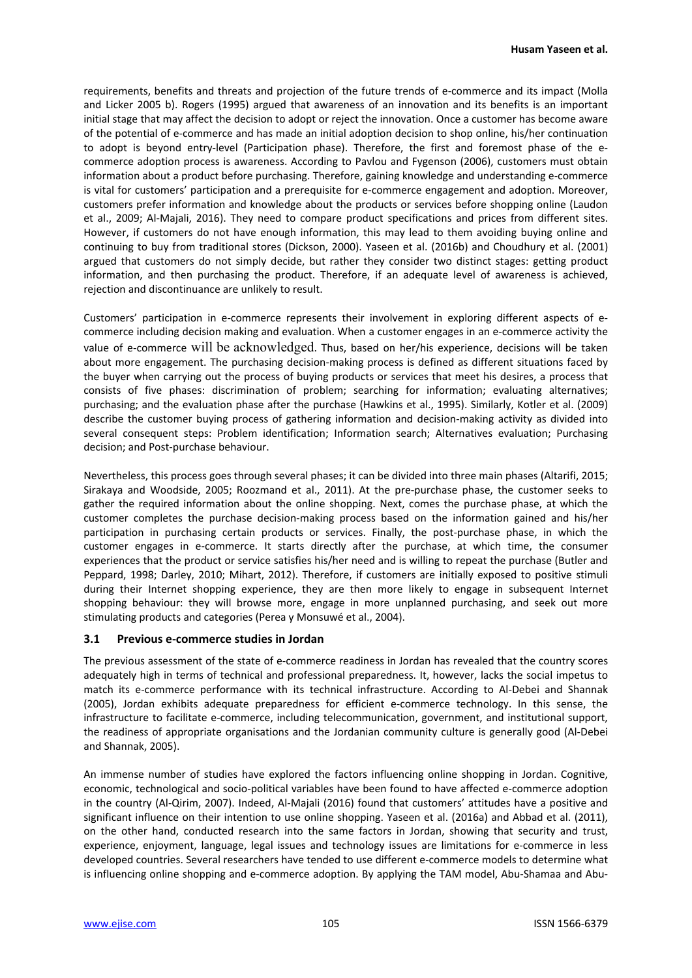requirements, benefits and threats and projection of the future trends of e-commerce and its impact (Molla and Licker 2005 b). Rogers (1995) argued that awareness of an innovation and its benefits is an important initial stage that may affect the decision to adopt or reject the innovation. Once a customer has become aware of the potential of e-commerce and has made an initial adoption decision to shop online, his/her continuation to adopt is beyond entry-level (Participation phase). Therefore, the first and foremost phase of the ecommerce adoption process is awareness. According to Pavlou and Fygenson (2006), customers must obtain information about a product before purchasing. Therefore, gaining knowledge and understanding e-commerce is vital for customers' participation and a prerequisite for e-commerce engagement and adoption. Moreover, customers prefer information and knowledge about the products or services before shopping online (Laudon et al., 2009; Al-Majali, 2016). They need to compare product specifications and prices from different sites. However, if customers do not have enough information, this may lead to them avoiding buying online and continuing to buy from traditional stores (Dickson, 2000). Yaseen et al. (2016b) and Choudhury et al. (2001) argued that customers do not simply decide, but rather they consider two distinct stages: getting product information, and then purchasing the product. Therefore, if an adequate level of awareness is achieved, rejection and discontinuance are unlikely to result.

Customers' participation in e-commerce represents their involvement in exploring different aspects of ecommerce including decision making and evaluation. When a customer engages in an e-commerce activity the value of e-commerce will be acknowledged. Thus, based on her/his experience, decisions will be taken about more engagement. The purchasing decision-making process is defined as different situations faced by the buyer when carrying out the process of buying products or services that meet his desires, a process that consists of five phases: discrimination of problem; searching for information; evaluating alternatives; purchasing; and the evaluation phase after the purchase (Hawkins et al., 1995). Similarly, Kotler et al. (2009) describe the customer buying process of gathering information and decision-making activity as divided into several consequent steps: Problem identification; Information search; Alternatives evaluation; Purchasing decision; and Post-purchase behaviour.

Nevertheless, this process goes through several phases; it can be divided into three main phases (Altarifi, 2015; Sirakaya and Woodside, 2005; Roozmand et al., 2011). At the pre-purchase phase, the customer seeks to gather the required information about the online shopping. Next, comes the purchase phase, at which the customer completes the purchase decision-making process based on the information gained and his/her participation in purchasing certain products or services. Finally, the post-purchase phase, in which the customer engages in e-commerce. It starts directly after the purchase, at which time, the consumer experiences that the product or service satisfies his/her need and is willing to repeat the purchase (Butler and Peppard, 1998; Darley, 2010; Mihart, 2012). Therefore, if customers are initially exposed to positive stimuli during their Internet shopping experience, they are then more likely to engage in subsequent Internet shopping behaviour: they will browse more, engage in more unplanned purchasing, and seek out more stimulating products and categories (Perea y Monsuwé et al., 2004).

## **3.1 Previous e-commerce studies in Jordan**

The previous assessment of the state of e-commerce readiness in Jordan has revealed that the country scores adequately high in terms of technical and professional preparedness. It, however, lacks the social impetus to match its e-commerce performance with its technical infrastructure. According to Al-Debei and Shannak (2005), Jordan exhibits adequate preparedness for efficient e-commerce technology. In this sense, the infrastructure to facilitate e-commerce, including telecommunication, government, and institutional support, the readiness of appropriate organisations and the Jordanian community culture is generally good (Al-Debei and Shannak, 2005).

An immense number of studies have explored the factors influencing online shopping in Jordan. Cognitive, economic, technological and socio-political variables have been found to have affected e-commerce adoption in the country (Al-Qirim, 2007). Indeed, Al-Majali (2016) found that customers' attitudes have a positive and significant influence on their intention to use online shopping. Yaseen et al. (2016a) and Abbad et al. (2011), on the other hand, conducted research into the same factors in Jordan, showing that security and trust, experience, enjoyment, language, legal issues and technology issues are limitations for e-commerce in less developed countries. Several researchers have tended to use different e-commerce models to determine what is influencing online shopping and e-commerce adoption. By applying the TAM model, Abu-Shamaa and Abu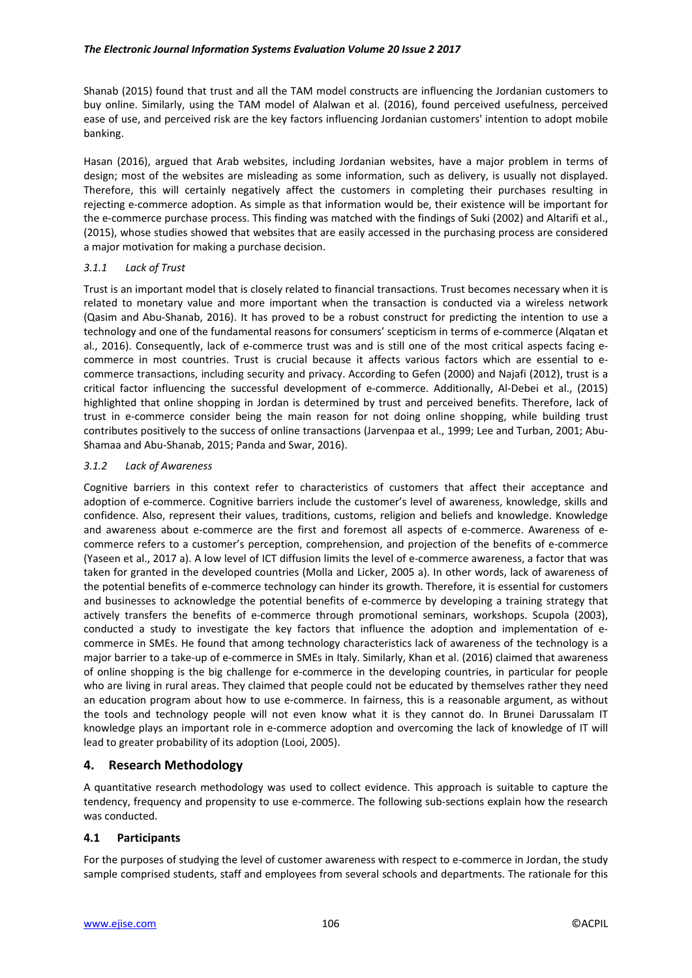Shanab (2015) found that trust and all the TAM model constructs are influencing the Jordanian customers to buy online. Similarly, using the TAM model of Alalwan et al. (2016), found perceived usefulness, perceived ease of use, and perceived risk are the key factors influencing Jordanian customers' intention to adopt mobile banking.

Hasan (2016), argued that Arab websites, including Jordanian websites, have a major problem in terms of design; most of the websites are misleading as some information, such as delivery, is usually not displayed. Therefore, this will certainly negatively affect the customers in completing their purchases resulting in rejecting e-commerce adoption. As simple as that information would be, their existence will be important for the e-commerce purchase process. This finding was matched with the findings of Suki (2002) and Altarifi et al., (2015), whose studies showed that websites that are easily accessed in the purchasing process are considered a major motivation for making a purchase decision.

## *3.1.1 Lack of Trust*

Trust is an important model that is closely related to financial transactions. Trust becomes necessary when it is related to monetary value and more important when the transaction is conducted via a wireless network (Qasim and Abu-Shanab, 2016). It has proved to be a robust construct for predicting the intention to use a technology and one of the fundamental reasons for consumers' scepticism in terms of e-commerce (Alqatan et al., 2016). Consequently, lack of e-commerce trust was and is still one of the most critical aspects facing ecommerce in most countries. Trust is crucial because it affects various factors which are essential to ecommerce transactions, including security and privacy. According to Gefen (2000) and Najafi (2012), trust is a critical factor influencing the successful development of e-commerce. Additionally, Al-Debei et al., (2015) highlighted that online shopping in Jordan is determined by trust and perceived benefits. Therefore, lack of trust in e-commerce consider being the main reason for not doing online shopping, while building trust contributes positively to the success of online transactions (Jarvenpaa et al., 1999; Lee and Turban, 2001; Abu-Shamaa and Abu-Shanab, 2015; Panda and Swar, 2016).

## *3.1.2 Lack of Awareness*

Cognitive barriers in this context refer to characteristics of customers that affect their acceptance and adoption of e-commerce. Cognitive barriers include the customer's level of awareness, knowledge, skills and confidence. Also, represent their values, traditions, customs, religion and beliefs and knowledge. Knowledge and awareness about e-commerce are the first and foremost all aspects of e-commerce. Awareness of ecommerce refers to a customer's perception, comprehension, and projection of the benefits of e-commerce (Yaseen et al., 2017 a). A low level of ICT diffusion limits the level of e-commerce awareness, a factor that was taken for granted in the developed countries (Molla and Licker, 2005 a). In other words, lack of awareness of the potential benefits of e-commerce technology can hinder its growth. Therefore, it is essential for customers and businesses to acknowledge the potential benefits of e-commerce by developing a training strategy that actively transfers the benefits of e-commerce through promotional seminars, workshops. Scupola (2003), conducted a study to investigate the key factors that influence the adoption and implementation of ecommerce in SMEs. He found that among technology characteristics lack of awareness of the technology is a major barrier to a take-up of e-commerce in SMEs in Italy. Similarly, Khan et al. (2016) claimed that awareness of online shopping is the big challenge for e-commerce in the developing countries, in particular for people who are living in rural areas. They claimed that people could not be educated by themselves rather they need an education program about how to use e-commerce. In fairness, this is a reasonable argument, as without the tools and technology people will not even know what it is they cannot do. In Brunei Darussalam IT knowledge plays an important role in e-commerce adoption and overcoming the lack of knowledge of IT will lead to greater probability of its adoption (Looi, 2005).

# **4. Research Methodology**

A quantitative research methodology was used to collect evidence. This approach is suitable to capture the tendency, frequency and propensity to use e-commerce. The following sub-sections explain how the research was conducted.

# **4.1 Participants**

For the purposes of studying the level of customer awareness with respect to e-commerce in Jordan, the study sample comprised students, staff and employees from several schools and departments. The rationale for this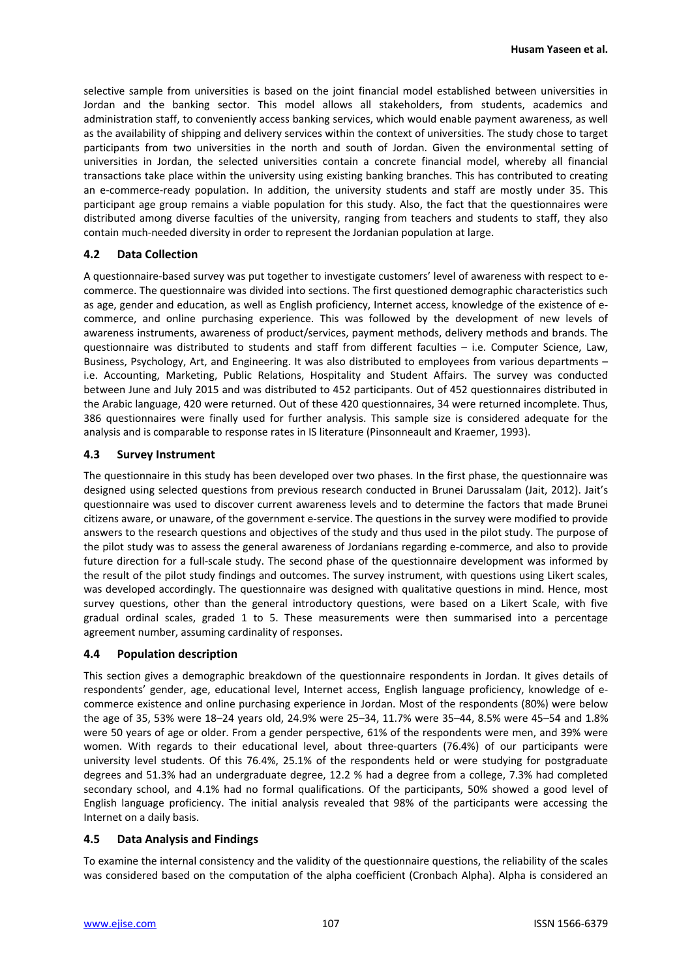selective sample from universities is based on the joint financial model established between universities in Jordan and the banking sector. This model allows all stakeholders, from students, academics and administration staff, to conveniently access banking services, which would enable payment awareness, as well as the availability of shipping and delivery services within the context of universities. The study chose to target participants from two universities in the north and south of Jordan. Given the environmental setting of universities in Jordan, the selected universities contain a concrete financial model, whereby all financial transactions take place within the university using existing banking branches. This has contributed to creating an e-commerce-ready population. In addition, the university students and staff are mostly under 35. This participant age group remains a viable population for this study. Also, the fact that the questionnaires were distributed among diverse faculties of the university, ranging from teachers and students to staff, they also contain much-needed diversity in order to represent the Jordanian population at large.

## **4.2 Data Collection**

A questionnaire-based survey was put together to investigate customers' level of awareness with respect to ecommerce. The questionnaire was divided into sections. The first questioned demographic characteristics such as age, gender and education, as well as English proficiency, Internet access, knowledge of the existence of ecommerce, and online purchasing experience. This was followed by the development of new levels of awareness instruments, awareness of product/services, payment methods, delivery methods and brands. The questionnaire was distributed to students and staff from different faculties – i.e. Computer Science, Law, Business, Psychology, Art, and Engineering. It was also distributed to employees from various departments – i.e. Accounting, Marketing, Public Relations, Hospitality and Student Affairs. The survey was conducted between June and July 2015 and was distributed to 452 participants. Out of 452 questionnaires distributed in the Arabic language, 420 were returned. Out of these 420 questionnaires, 34 were returned incomplete. Thus, 386 questionnaires were finally used for further analysis. This sample size is considered adequate for the analysis and is comparable to response rates in IS literature (Pinsonneault and Kraemer, 1993).

## **4.3 Survey Instrument**

The questionnaire in this study has been developed over two phases. In the first phase, the questionnaire was designed using selected questions from previous research conducted in Brunei Darussalam (Jait, 2012). Jait's questionnaire was used to discover current awareness levels and to determine the factors that made Brunei citizens aware, or unaware, of the government e-service. The questions in the survey were modified to provide answers to the research questions and objectives of the study and thus used in the pilot study. The purpose of the pilot study was to assess the general awareness of Jordanians regarding e-commerce, and also to provide future direction for a full-scale study. The second phase of the questionnaire development was informed by the result of the pilot study findings and outcomes. The survey instrument, with questions using Likert scales, was developed accordingly. The questionnaire was designed with qualitative questions in mind. Hence, most survey questions, other than the general introductory questions, were based on a Likert Scale, with five gradual ordinal scales, graded 1 to 5. These measurements were then summarised into a percentage agreement number, assuming cardinality of responses.

## **4.4 Population description**

This section gives a demographic breakdown of the questionnaire respondents in Jordan. It gives details of respondents' gender, age, educational level, Internet access, English language proficiency, knowledge of ecommerce existence and online purchasing experience in Jordan. Most of the respondents (80%) were below the age of 35, 53% were 18–24 years old, 24.9% were 25–34, 11.7% were 35–44, 8.5% were 45–54 and 1.8% were 50 years of age or older. From a gender perspective, 61% of the respondents were men, and 39% were women. With regards to their educational level, about three-quarters (76.4%) of our participants were university level students. Of this 76.4%, 25.1% of the respondents held or were studying for postgraduate degrees and 51.3% had an undergraduate degree, 12.2 % had a degree from a college, 7.3% had completed secondary school, and 4.1% had no formal qualifications. Of the participants, 50% showed a good level of English language proficiency. The initial analysis revealed that 98% of the participants were accessing the Internet on a daily basis.

## **4.5 Data Analysis and Findings**

To examine the internal consistency and the validity of the questionnaire questions, the reliability of the scales was considered based on the computation of the alpha coefficient (Cronbach Alpha). Alpha is considered an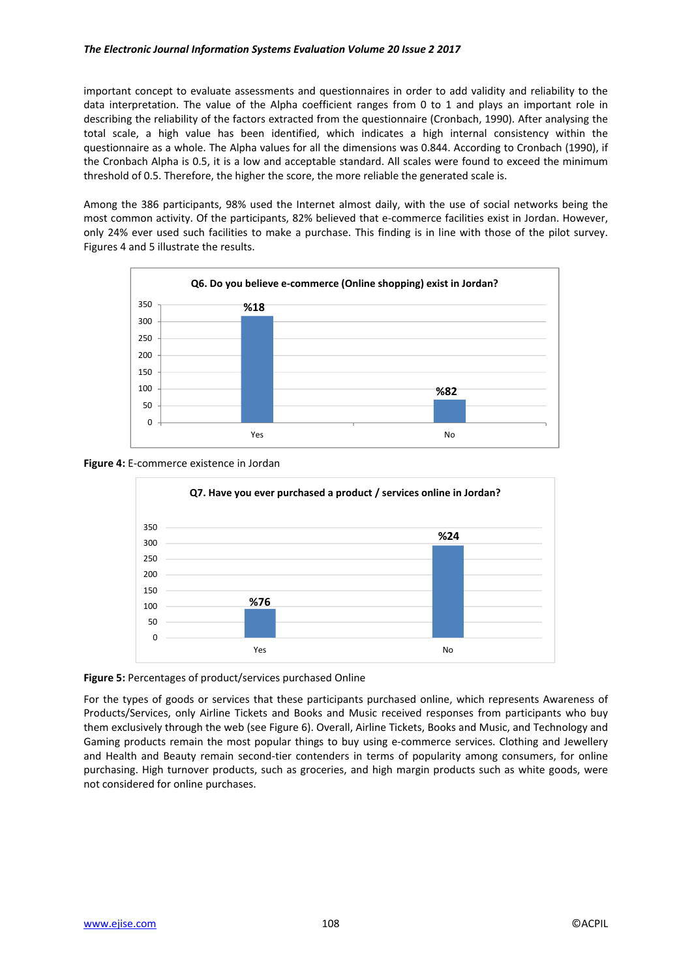important concept to evaluate assessments and questionnaires in order to add validity and reliability to the data interpretation. The value of the Alpha coefficient ranges from 0 to 1 and plays an important role in describing the reliability of the factors extracted from the questionnaire (Cronbach, 1990). After analysing the total scale, a high value has been identified, which indicates a high internal consistency within the questionnaire as a whole. The Alpha values for all the dimensions was 0.844. According to Cronbach (1990), if the Cronbach Alpha is 0.5, it is a low and acceptable standard. All scales were found to exceed the minimum threshold of 0.5. Therefore, the higher the score, the more reliable the generated scale is.

Among the 386 participants, 98% used the Internet almost daily, with the use of social networks being the most common activity. Of the participants, 82% believed that e-commerce facilities exist in Jordan. However, only 24% ever used such facilities to make a purchase. This finding is in line with those of the pilot survey. Figures 4 and 5 illustrate the results.







## **Figure 5:** Percentages of product/services purchased Online

For the types of goods or services that these participants purchased online, which represents Awareness of Products/Services, only Airline Tickets and Books and Music received responses from participants who buy them exclusively through the web (see Figure 6). Overall, Airline Tickets, Books and Music, and Technology and Gaming products remain the most popular things to buy using e-commerce services. Clothing and Jewellery and Health and Beauty remain second-tier contenders in terms of popularity among consumers, for online purchasing. High turnover products, such as groceries, and high margin products such as white goods, were not considered for online purchases.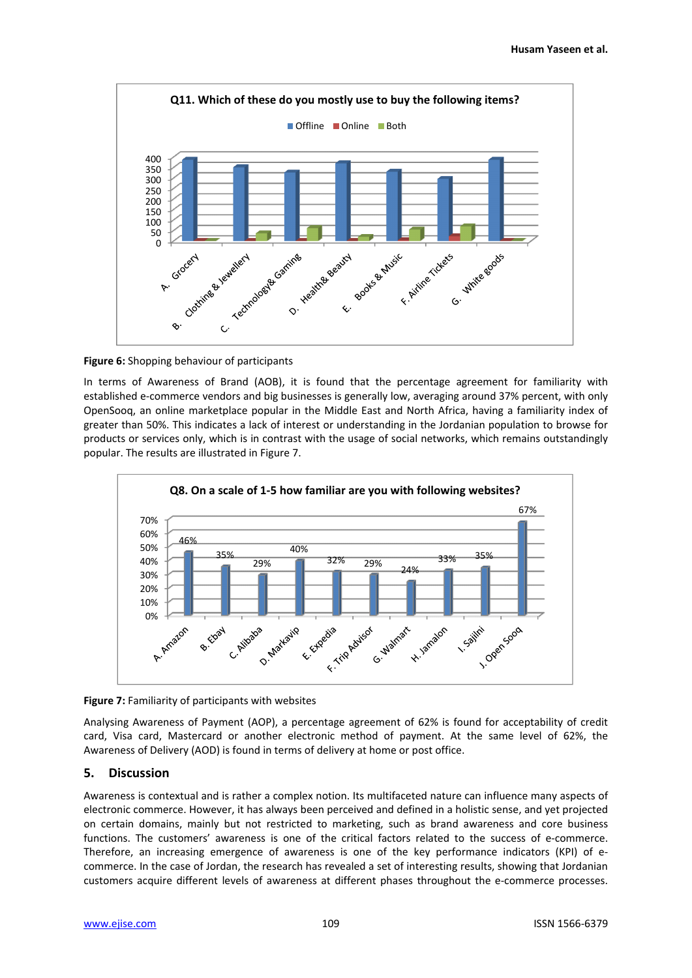



In terms of Awareness of Brand (AOB), it is found that the percentage agreement for familiarity with established e-commerce vendors and big businesses is generally low, averaging around 37% percent, with only OpenSooq, an online marketplace popular in the Middle East and North Africa, having a familiarity index of greater than 50%. This indicates a lack of interest or understanding in the Jordanian population to browse for products or services only, which is in contrast with the usage of social networks, which remains outstandingly popular. The results are illustrated in Figure 7.





Analysing Awareness of Payment (AOP), a percentage agreement of 62% is found for acceptability of credit card, Visa card, Mastercard or another electronic method of payment. At the same level of 62%, the Awareness of Delivery (AOD) is found in terms of delivery at home or post office.

## **5. Discussion**

Awareness is contextual and is rather a complex notion. Its multifaceted nature can influence many aspects of electronic commerce. However, it has always been perceived and defined in a holistic sense, and yet projected on certain domains, mainly but not restricted to marketing, such as brand awareness and core business functions. The customers' awareness is one of the critical factors related to the success of e-commerce. Therefore, an increasing emergence of awareness is one of the key performance indicators (KPI) of ecommerce. In the case of Jordan, the research has revealed a set of interesting results, showing that Jordanian customers acquire different levels of awareness at different phases throughout the e-commerce processes.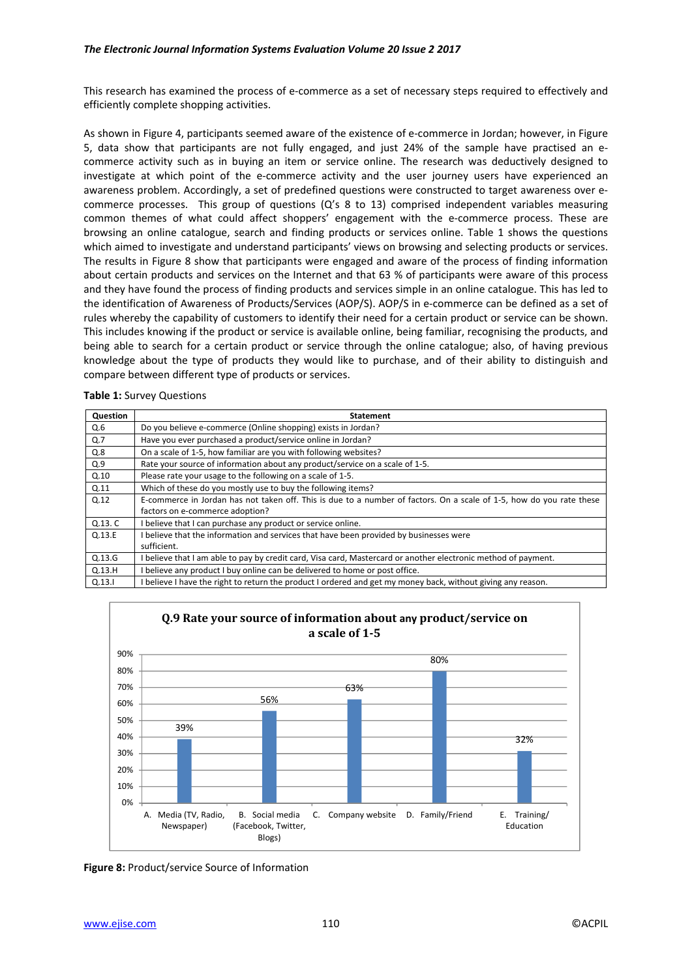This research has examined the process of e-commerce as a set of necessary steps required to effectively and efficiently complete shopping activities.

As shown in Figure 4, participants seemed aware of the existence of e-commerce in Jordan; however, in Figure 5, data show that participants are not fully engaged, and just 24% of the sample have practised an ecommerce activity such as in buying an item or service online. The research was deductively designed to investigate at which point of the e-commerce activity and the user journey users have experienced an awareness problem. Accordingly, a set of predefined questions were constructed to target awareness over ecommerce processes. This group of questions (Q's 8 to 13) comprised independent variables measuring common themes of what could affect shoppers' engagement with the e-commerce process. These are browsing an online catalogue, search and finding products or services online. Table 1 shows the questions which aimed to investigate and understand participants' views on browsing and selecting products or services. The results in Figure 8 show that participants were engaged and aware of the process of finding information about certain products and services on the Internet and that 63 % of participants were aware of this process and they have found the process of finding products and services simple in an online catalogue. This has led to the identification of Awareness of Products/Services (AOP/S). AOP/S in e-commerce can be defined as a set of rules whereby the capability of customers to identify their need for a certain product or service can be shown. This includes knowing if the product or service is available online, being familiar, recognising the products, and being able to search for a certain product or service through the online catalogue; also, of having previous knowledge about the type of products they would like to purchase, and of their ability to distinguish and compare between different type of products or services.

| <b>Question</b> | <b>Statement</b>                                                                                                     |
|-----------------|----------------------------------------------------------------------------------------------------------------------|
| Q.6             | Do you believe e-commerce (Online shopping) exists in Jordan?                                                        |
| Q.7             | Have you ever purchased a product/service online in Jordan?                                                          |
| Q.8             | On a scale of 1-5, how familiar are you with following websites?                                                     |
| Q.9             | Rate your source of information about any product/service on a scale of 1-5.                                         |
| Q.10            | Please rate your usage to the following on a scale of 1-5.                                                           |
| Q.11            | Which of these do you mostly use to buy the following items?                                                         |
| Q.12            | E-commerce in Jordan has not taken off. This is due to a number of factors. On a scale of 1-5, how do you rate these |
|                 | factors on e-commerce adoption?                                                                                      |
| Q.13. C         | I believe that I can purchase any product or service online.                                                         |
| Q.13.E          | I believe that the information and services that have been provided by businesses were                               |
|                 | sufficient.                                                                                                          |
| Q.13.G          | I believe that I am able to pay by credit card, Visa card, Mastercard or another electronic method of payment.       |
| Q.13.H          | believe any product I buy online can be delivered to home or post office.                                            |
| Q.13.1          | I believe I have the right to return the product I ordered and get my money back, without giving any reason.         |

|  |  |  | <b>Table 1:</b> Survey Questions |
|--|--|--|----------------------------------|
|--|--|--|----------------------------------|



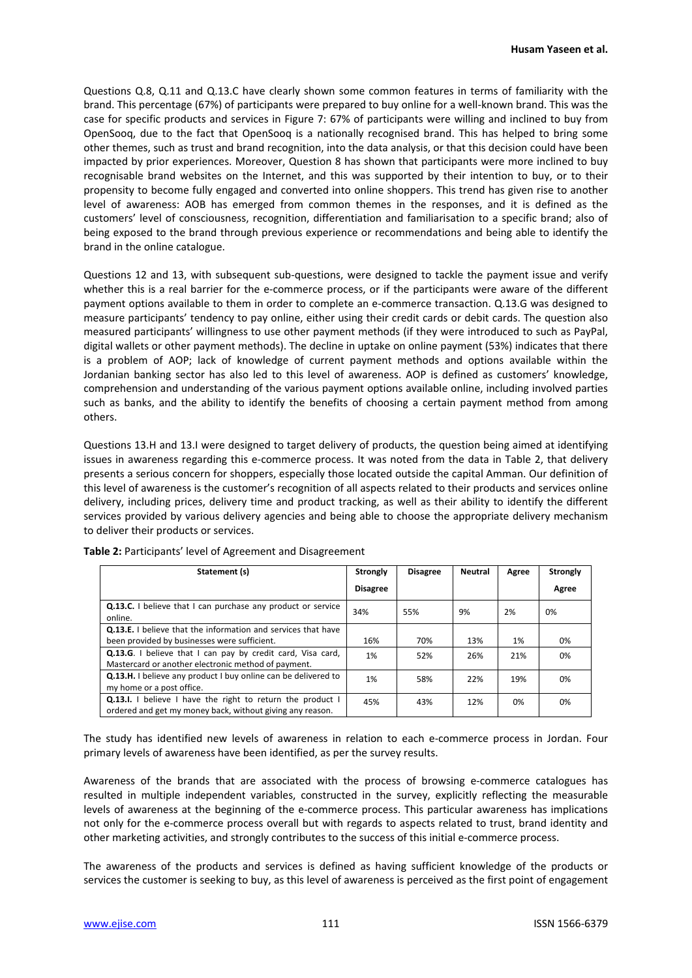Questions Q.8, Q.11 and Q.13.C have clearly shown some common features in terms of familiarity with the brand. This percentage (67%) of participants were prepared to buy online for a well-known brand. This was the case for specific products and services in Figure 7: 67% of participants were willing and inclined to buy from OpenSooq, due to the fact that OpenSooq is a nationally recognised brand. This has helped to bring some other themes, such as trust and brand recognition, into the data analysis, or that this decision could have been impacted by prior experiences. Moreover, Question 8 has shown that participants were more inclined to buy recognisable brand websites on the Internet, and this was supported by their intention to buy, or to their propensity to become fully engaged and converted into online shoppers. This trend has given rise to another level of awareness: AOB has emerged from common themes in the responses, and it is defined as the customers' level of consciousness, recognition, differentiation and familiarisation to a specific brand; also of being exposed to the brand through previous experience or recommendations and being able to identify the brand in the online catalogue.

Questions 12 and 13, with subsequent sub-questions, were designed to tackle the payment issue and verify whether this is a real barrier for the e-commerce process, or if the participants were aware of the different payment options available to them in order to complete an e-commerce transaction. Q.13.G was designed to measure participants' tendency to pay online, either using their credit cards or debit cards. The question also measured participants' willingness to use other payment methods (if they were introduced to such as PayPal, digital wallets or other payment methods). The decline in uptake on online payment (53%) indicates that there is a problem of AOP; lack of knowledge of current payment methods and options available within the Jordanian banking sector has also led to this level of awareness. AOP is defined as customers' knowledge, comprehension and understanding of the various payment options available online, including involved parties such as banks, and the ability to identify the benefits of choosing a certain payment method from among others.

Questions 13.H and 13.I were designed to target delivery of products, the question being aimed at identifying issues in awareness regarding this e-commerce process. It was noted from the data in Table 2, that delivery presents a serious concern for shoppers, especially those located outside the capital Amman. Our definition of this level of awareness is the customer's recognition of all aspects related to their products and services online delivery, including prices, delivery time and product tracking, as well as their ability to identify the different services provided by various delivery agencies and being able to choose the appropriate delivery mechanism to deliver their products or services.

| Statement (s)                                                                                                                  | Strongly        | <b>Disagree</b> | <b>Neutral</b> | Agree | <b>Strongly</b> |
|--------------------------------------------------------------------------------------------------------------------------------|-----------------|-----------------|----------------|-------|-----------------|
|                                                                                                                                | <b>Disagree</b> |                 |                |       | Agree           |
| Q.13.C. I believe that I can purchase any product or service<br>online.                                                        | 34%             | 55%             | 9%             | 2%    | 0%              |
| <b>Q.13.E.</b> I believe that the information and services that have                                                           |                 |                 |                |       |                 |
| been provided by businesses were sufficient.                                                                                   | 16%             | 70%             | 13%            | 1%    | 0%              |
| Q.13.G. I believe that I can pay by credit card, Visa card,<br>Mastercard or another electronic method of payment.             | 1%              | 52%             | 26%            | 21%   | 0%              |
| Q.13.H. I believe any product I buy online can be delivered to<br>my home or a post office.                                    | 1%              | 58%             | 22%            | 19%   | 0%              |
| <b>Q.13.I.</b> I believe I have the right to return the product I<br>ordered and get my money back, without giving any reason. | 45%             | 43%             | 12%            | 0%    | 0%              |

**Table 2:** Participants' level of Agreement and Disagreement

The study has identified new levels of awareness in relation to each e-commerce process in Jordan. Four primary levels of awareness have been identified, as per the survey results.

Awareness of the brands that are associated with the process of browsing e-commerce catalogues has resulted in multiple independent variables, constructed in the survey, explicitly reflecting the measurable levels of awareness at the beginning of the e-commerce process. This particular awareness has implications not only for the e-commerce process overall but with regards to aspects related to trust, brand identity and other marketing activities, and strongly contributes to the success of this initial e-commerce process.

The awareness of the products and services is defined as having sufficient knowledge of the products or services the customer is seeking to buy, as this level of awareness is perceived as the first point of engagement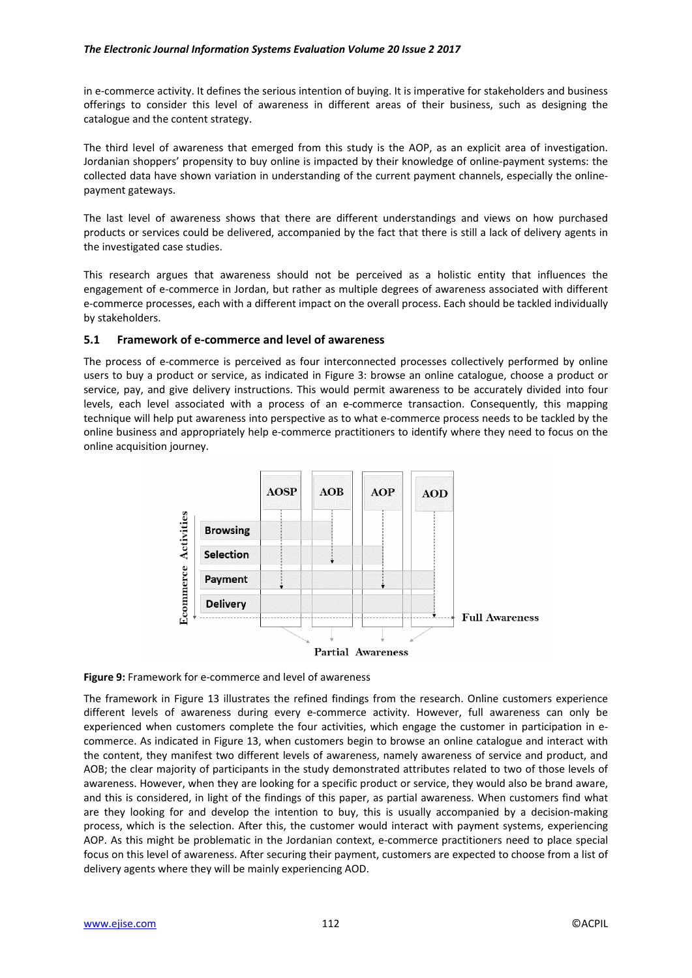in e-commerce activity. It defines the serious intention of buying. It is imperative for stakeholders and business offerings to consider this level of awareness in different areas of their business, such as designing the catalogue and the content strategy.

The third level of awareness that emerged from this study is the AOP, as an explicit area of investigation. Jordanian shoppers' propensity to buy online is impacted by their knowledge of online-payment systems: the collected data have shown variation in understanding of the current payment channels, especially the onlinepayment gateways.

The last level of awareness shows that there are different understandings and views on how purchased products or services could be delivered, accompanied by the fact that there is still a lack of delivery agents in the investigated case studies.

This research argues that awareness should not be perceived as a holistic entity that influences the engagement of e-commerce in Jordan, but rather as multiple degrees of awareness associated with different e-commerce processes, each with a different impact on the overall process. Each should be tackled individually by stakeholders.

## **5.1 Framework of e-commerce and level of awareness**

The process of e-commerce is perceived as four interconnected processes collectively performed by online users to buy a product or service, as indicated in Figure 3: browse an online catalogue, choose a product or service, pay, and give delivery instructions. This would permit awareness to be accurately divided into four levels, each level associated with a process of an e-commerce transaction. Consequently, this mapping technique will help put awareness into perspective as to what e-commerce process needs to be tackled by the online business and appropriately help e-commerce practitioners to identify where they need to focus on the online acquisition journey.



**Figure 9:** Framework for e-commerce and level of awareness

The framework in Figure 13 illustrates the refined findings from the research. Online customers experience different levels of awareness during every e-commerce activity. However, full awareness can only be experienced when customers complete the four activities, which engage the customer in participation in ecommerce. As indicated in Figure 13, when customers begin to browse an online catalogue and interact with the content, they manifest two different levels of awareness, namely awareness of service and product, and AOB; the clear majority of participants in the study demonstrated attributes related to two of those levels of awareness. However, when they are looking for a specific product or service, they would also be brand aware, and this is considered, in light of the findings of this paper, as partial awareness. When customers find what are they looking for and develop the intention to buy, this is usually accompanied by a decision-making process, which is the selection. After this, the customer would interact with payment systems, experiencing AOP. As this might be problematic in the Jordanian context, e-commerce practitioners need to place special focus on this level of awareness. After securing their payment, customers are expected to choose from a list of delivery agents where they will be mainly experiencing AOD.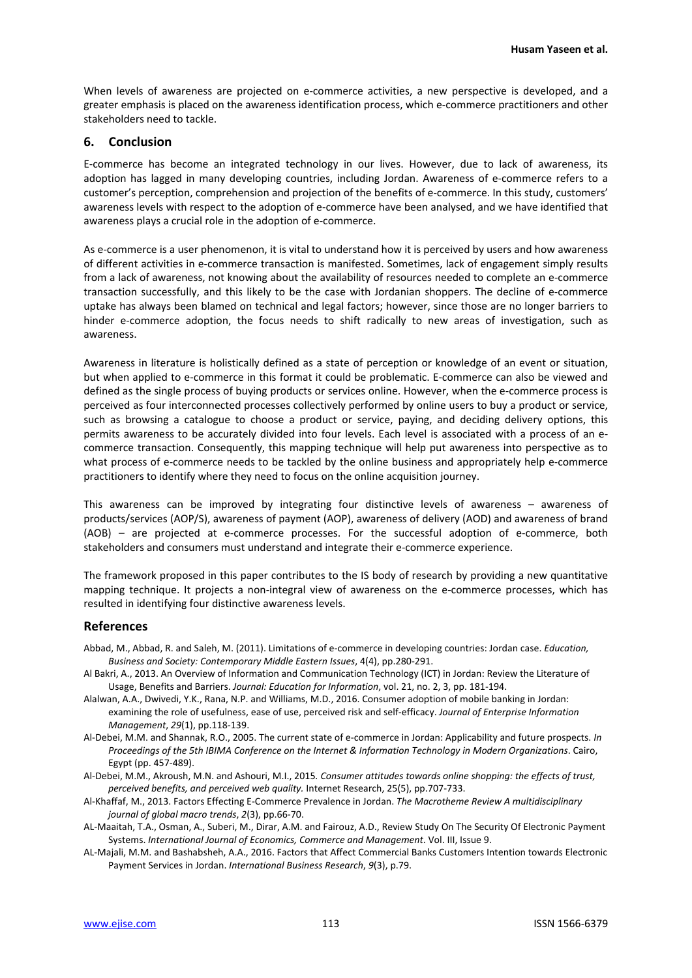When levels of awareness are projected on e-commerce activities, a new perspective is developed, and a greater emphasis is placed on the awareness identification process, which e-commerce practitioners and other stakeholders need to tackle.

## **6. Conclusion**

E-commerce has become an integrated technology in our lives. However, due to lack of awareness, its adoption has lagged in many developing countries, including Jordan. Awareness of e-commerce refers to a customer's perception, comprehension and projection of the benefits of e-commerce. In this study, customers' awareness levels with respect to the adoption of e-commerce have been analysed, and we have identified that awareness plays a crucial role in the adoption of e-commerce.

As e-commerce is a user phenomenon, it is vital to understand how it is perceived by users and how awareness of different activities in e-commerce transaction is manifested. Sometimes, lack of engagement simply results from a lack of awareness, not knowing about the availability of resources needed to complete an e-commerce transaction successfully, and this likely to be the case with Jordanian shoppers. The decline of e-commerce uptake has always been blamed on technical and legal factors; however, since those are no longer barriers to hinder e-commerce adoption, the focus needs to shift radically to new areas of investigation, such as awareness.

Awareness in literature is holistically defined as a state of perception or knowledge of an event or situation, but when applied to e-commerce in this format it could be problematic. E-commerce can also be viewed and defined as the single process of buying products or services online. However, when the e-commerce process is perceived as four interconnected processes collectively performed by online users to buy a product or service, such as browsing a catalogue to choose a product or service, paying, and deciding delivery options, this permits awareness to be accurately divided into four levels. Each level is associated with a process of an ecommerce transaction. Consequently, this mapping technique will help put awareness into perspective as to what process of e-commerce needs to be tackled by the online business and appropriately help e-commerce practitioners to identify where they need to focus on the online acquisition journey.

This awareness can be improved by integrating four distinctive levels of awareness – awareness of products/services (AOP/S), awareness of payment (AOP), awareness of delivery (AOD) and awareness of brand (AOB) – are projected at e-commerce processes. For the successful adoption of e-commerce, both stakeholders and consumers must understand and integrate their e-commerce experience.

The framework proposed in this paper contributes to the IS body of research by providing a new quantitative mapping technique. It projects a non-integral view of awareness on the e-commerce processes, which has resulted in identifying four distinctive awareness levels.

## **References**

- Abbad, M., Abbad, R. and Saleh, M. (2011). Limitations of e-commerce in developing countries: Jordan case. *Education, Business and Society: Contemporary Middle Eastern Issues*, 4(4), pp.280-291.
- Al Bakri, A., 2013. An Overview of Information and Communication Technology (ICT) in Jordan: Review the Literature of Usage, Benefits and Barriers. *Journal: Education for Information*, vol. 21, no. 2, 3, pp. 181-194.
- Alalwan, A.A., Dwivedi, Y.K., Rana, N.P. and Williams, M.D., 2016. Consumer adoption of mobile banking in Jordan: examining the role of usefulness, ease of use, perceived risk and self-efficacy. *Journal of Enterprise Information Management*, *29*(1), pp.118-139.
- Al-Debei, M.M. and Shannak, R.O., 2005. The current state of e-commerce in Jordan: Applicability and future prospects. *In Proceedings of the 5th IBIMA Conference on the Internet & Information Technology in Modern Organizations*. Cairo, Egypt (pp. 457-489).
- Al-Debei, M.M., Akroush, M.N. and Ashouri, M.I., 2015*. Consumer attitudes towards online shopping: the effects of trust, perceived benefits, and perceived web quality.* Internet Research, 25(5), pp.707-733.
- Al-Khaffaf, M., 2013. Factors Effecting E-Commerce Prevalence in Jordan. *The Macrotheme Review A multidisciplinary journal of global macro trends*, *2*(3), pp.66-70.
- AL-Maaitah, T.A., Osman, A., Suberi, M., Dirar, A.M. and Fairouz, A.D., Review Study On The Security Of Electronic Payment Systems. *International Journal of Economics, Commerce and Management*. Vol. III, Issue 9.
- AL-Majali, M.M. and Bashabsheh, A.A., 2016. Factors that Affect Commercial Banks Customers Intention towards Electronic Payment Services in Jordan. *International Business Research*, *9*(3), p.79.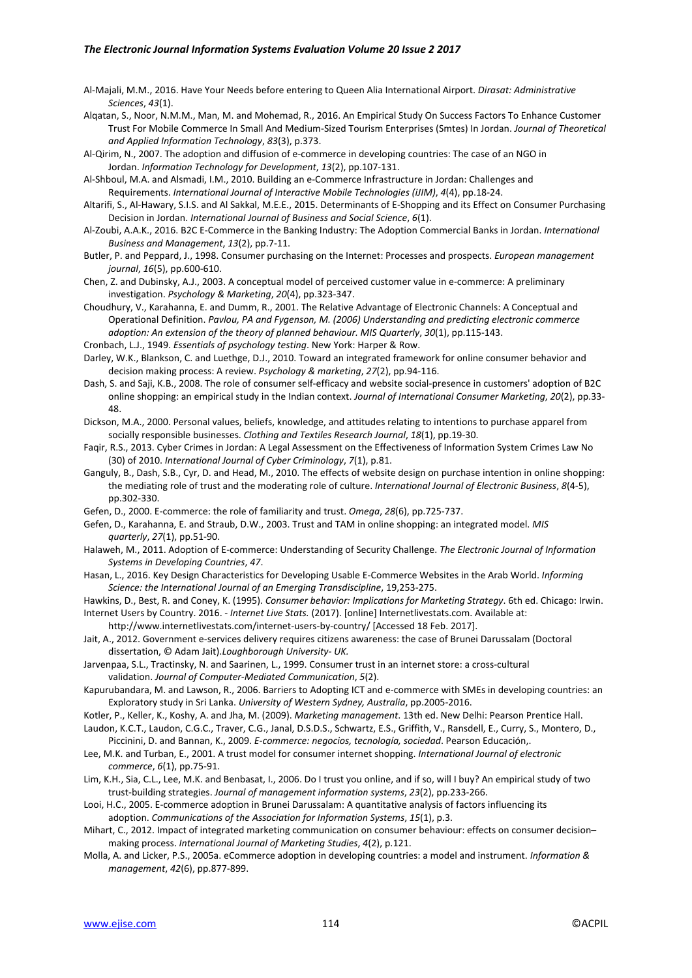- Al-Majali, M.M., 2016. Have Your Needs before entering to Queen Alia International Airport. *Dirasat: Administrative Sciences*, *43*(1).
- Alqatan, S., Noor, N.M.M., Man, M. and Mohemad, R., 2016. An Empirical Study On Success Factors To Enhance Customer Trust For Mobile Commerce In Small And Medium-Sized Tourism Enterprises (Smtes) In Jordan. *Journal of Theoretical and Applied Information Technology*, *83*(3), p.373.

Al-Qirim, N., 2007. The adoption and diffusion of e-commerce in developing countries: The case of an NGO in Jordan. *Information Technology for Development*, *13*(2), pp.107-131.

Al-Shboul, M.A. and Alsmadi, I.M., 2010. Building an e-Commerce Infrastructure in Jordan: Challenges and Requirements. *International Journal of Interactive Mobile Technologies (iJIM)*, *4*(4), pp.18-24.

Altarifi, S., Al-Hawary, S.I.S. and Al Sakkal, M.E.E., 2015. Determinants of E-Shopping and its Effect on Consumer Purchasing Decision in Jordan. *International Journal of Business and Social Science*, *6*(1).

Al-Zoubi, A.A.K., 2016. B2C E-Commerce in the Banking Industry: The Adoption Commercial Banks in Jordan. *International Business and Management*, *13*(2), pp.7-11.

Butler, P. and Peppard, J., 1998. Consumer purchasing on the Internet: Processes and prospects. *European management journal*, *16*(5), pp.600-610.

Chen, Z. and Dubinsky, A.J., 2003. A conceptual model of perceived customer value in e-commerce: A preliminary investigation. *Psychology & Marketing*, *20*(4), pp.323-347.

Choudhury, V., Karahanna, E. and Dumm, R., 2001. The Relative Advantage of Electronic Channels: A Conceptual and Operational Definition. *Pavlou, PA and Fygenson, M. (2006) Understanding and predicting electronic commerce adoption: An extension of the theory of planned behaviour. MIS Quarterly*, *30*(1), pp.115-143.

Cronbach, L.J., 1949. *Essentials of psychology testing*. New York: Harper & Row.

Darley, W.K., Blankson, C. and Luethge, D.J., 2010. Toward an integrated framework for online consumer behavior and decision making process: A review. *Psychology & marketing*, *27*(2), pp.94-116.

Dash, S. and Saji, K.B., 2008. The role of consumer self-efficacy and website social-presence in customers' adoption of B2C online shopping: an empirical study in the Indian context. *Journal of International Consumer Marketing*, *20*(2), pp.33- 48.

Dickson, M.A., 2000. Personal values, beliefs, knowledge, and attitudes relating to intentions to purchase apparel from socially responsible businesses. *Clothing and Textiles Research Journal*, *18*(1), pp.19-30.

Faqir, R.S., 2013. Cyber Crimes in Jordan: A Legal Assessment on the Effectiveness of Information System Crimes Law No (30) of 2010. *International Journal of Cyber Criminology*, *7*(1), p.81.

Ganguly, B., Dash, S.B., Cyr, D. and Head, M., 2010. The effects of website design on purchase intention in online shopping: the mediating role of trust and the moderating role of culture. *International Journal of Electronic Business*, *8*(4-5), pp.302-330.

Gefen, D., 2000. E-commerce: the role of familiarity and trust. *Omega*, *28*(6), pp.725-737.

Gefen, D., Karahanna, E. and Straub, D.W., 2003. Trust and TAM in online shopping: an integrated model. *MIS quarterly*, *27*(1), pp.51-90.

Halaweh, M., 2011. Adoption of E-commerce: Understanding of Security Challenge. *The Electronic Journal of Information Systems in Developing Countries*, *47*.

Hasan, L., 2016. Key Design Characteristics for Developing Usable E-Commerce Websites in the Arab World. *Informing Science: the International Journal of an Emerging Transdiscipline*, 19,253-275.

Hawkins, D., Best, R. and Coney, K. (1995). *Consumer behavior: Implications for Marketing Strategy*. 6th ed. Chicago: Irwin.

Internet Users by Country. 2016. *- Internet Live Stats.* (2017). [online] Internetlivestats.com. Available at: http://www.internetlivestats.com/internet-users-by-country/ [Accessed 18 Feb. 2017].

Jait, A., 2012. Government e-services delivery requires citizens awareness: the case of Brunei Darussalam (Doctoral dissertation, © Adam Jait).*Loughborough University- UK.* 

Jarvenpaa, S.L., Tractinsky, N. and Saarinen, L., 1999. Consumer trust in an internet store: a cross-cultural validation. *Journal of Computer-Mediated Communication*, *5*(2).

- Kapurubandara, M. and Lawson, R., 2006. Barriers to Adopting ICT and e-commerce with SMEs in developing countries: an Exploratory study in Sri Lanka. *University of Western Sydney, Australia*, pp.2005-2016.
- Kotler, P., Keller, K., Koshy, A. and Jha, M. (2009). *Marketing management*. 13th ed. New Delhi: Pearson Prentice Hall.
- Laudon, K.C.T., Laudon, C.G.C., Traver, C.G., Janal, D.S.D.S., Schwartz, E.S., Griffith, V., Ransdell, E., Curry, S., Montero, D., Piccinini, D. and Bannan, K., 2009. *E-commerce: negocios, tecnología, sociedad*. Pearson Educación,.
- Lee, M.K. and Turban, E., 2001. A trust model for consumer internet shopping. *International Journal of electronic commerce*, *6*(1), pp.75-91.
- Lim, K.H., Sia, C.L., Lee, M.K. and Benbasat, I., 2006. Do I trust you online, and if so, will I buy? An empirical study of two trust-building strategies. *Journal of management information systems*, *23*(2), pp.233-266.
- Looi, H.C., 2005. E-commerce adoption in Brunei Darussalam: A quantitative analysis of factors influencing its adoption. *Communications of the Association for Information Systems*, *15*(1), p.3.
- Mihart, C., 2012. Impact of integrated marketing communication on consumer behaviour: effects on consumer decision– making process. *International Journal of Marketing Studies*, *4*(2), p.121.
- Molla, A. and Licker, P.S., 2005a. eCommerce adoption in developing countries: a model and instrument. *Information & management*, *42*(6), pp.877-899.